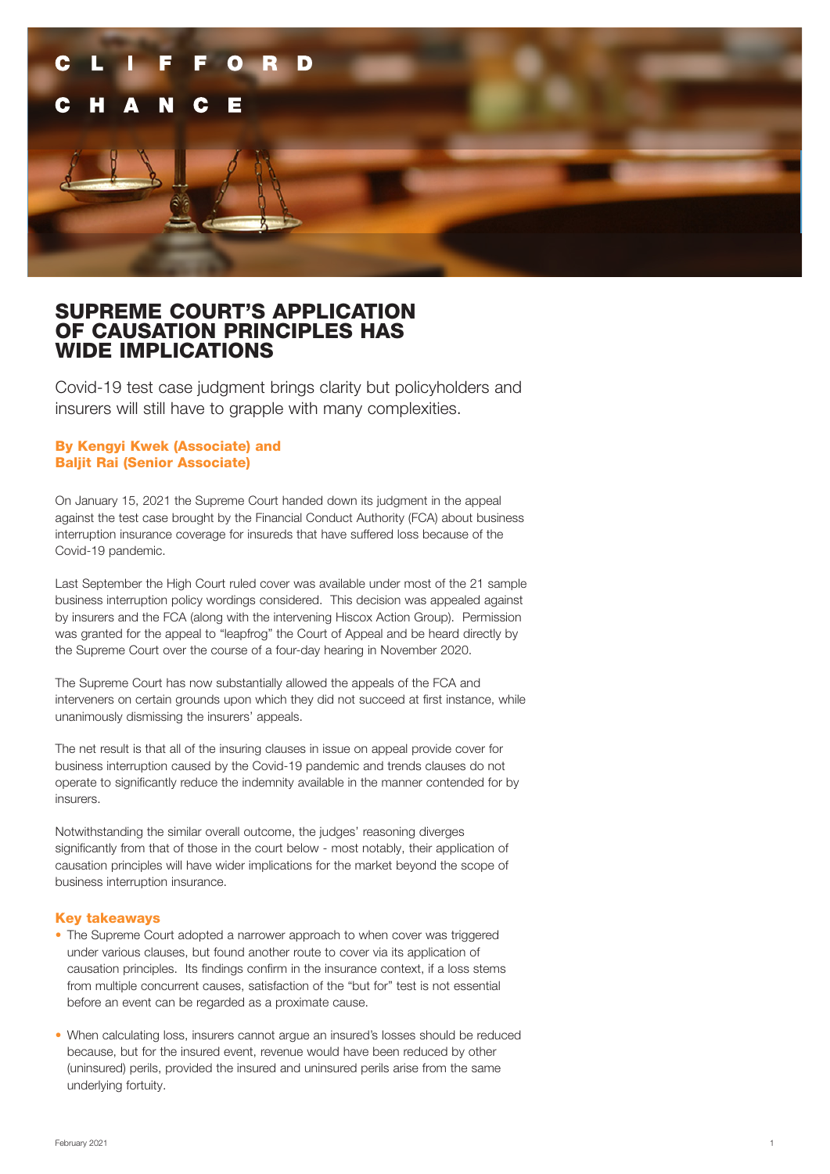

# SUPREME COURT'S APPLICATION OF CAUSATION PRINCIPLES HAS WIDE IMPLICATIONS

Covid-19 test case judgment brings clarity but policyholders and insurers will still have to grapple with many complexities.

### By Kengyi Kwek (Associate) and Baljit Rai (Senior Associate)

On January 15, 2021 the Supreme Court handed down its judgment in the appeal against the test case brought by the Financial Conduct Authority (FCA) about business interruption insurance coverage for insureds that have suffered loss because of the Covid-19 pandemic.

Last September the High Court ruled cover was available under most of the 21 sample business interruption policy wordings considered. This decision was appealed against by insurers and the FCA (along with the intervening Hiscox Action Group). Permission was granted for the appeal to "leapfrog" the Court of Appeal and be heard directly by the Supreme Court over the course of a four-day hearing in November 2020.

The Supreme Court has now substantially allowed the appeals of the FCA and interveners on certain grounds upon which they did not succeed at first instance, while unanimously dismissing the insurers' appeals.

The net result is that all of the insuring clauses in issue on appeal provide cover for business interruption caused by the Covid-19 pandemic and trends clauses do not operate to significantly reduce the indemnity available in the manner contended for by insurers.

Notwithstanding the similar overall outcome, the judges' reasoning diverges significantly from that of those in the court below - most notably, their application of causation principles will have wider implications for the market beyond the scope of business interruption insurance.

#### Key takeaways

- The Supreme Court adopted a narrower approach to when cover was triggered under various clauses, but found another route to cover via its application of causation principles. Its findings confirm in the insurance context, if a loss stems from multiple concurrent causes, satisfaction of the "but for" test is not essential before an event can be regarded as a proximate cause.
- When calculating loss, insurers cannot argue an insured's losses should be reduced because, but for the insured event, revenue would have been reduced by other (uninsured) perils, provided the insured and uninsured perils arise from the same underlying fortuity.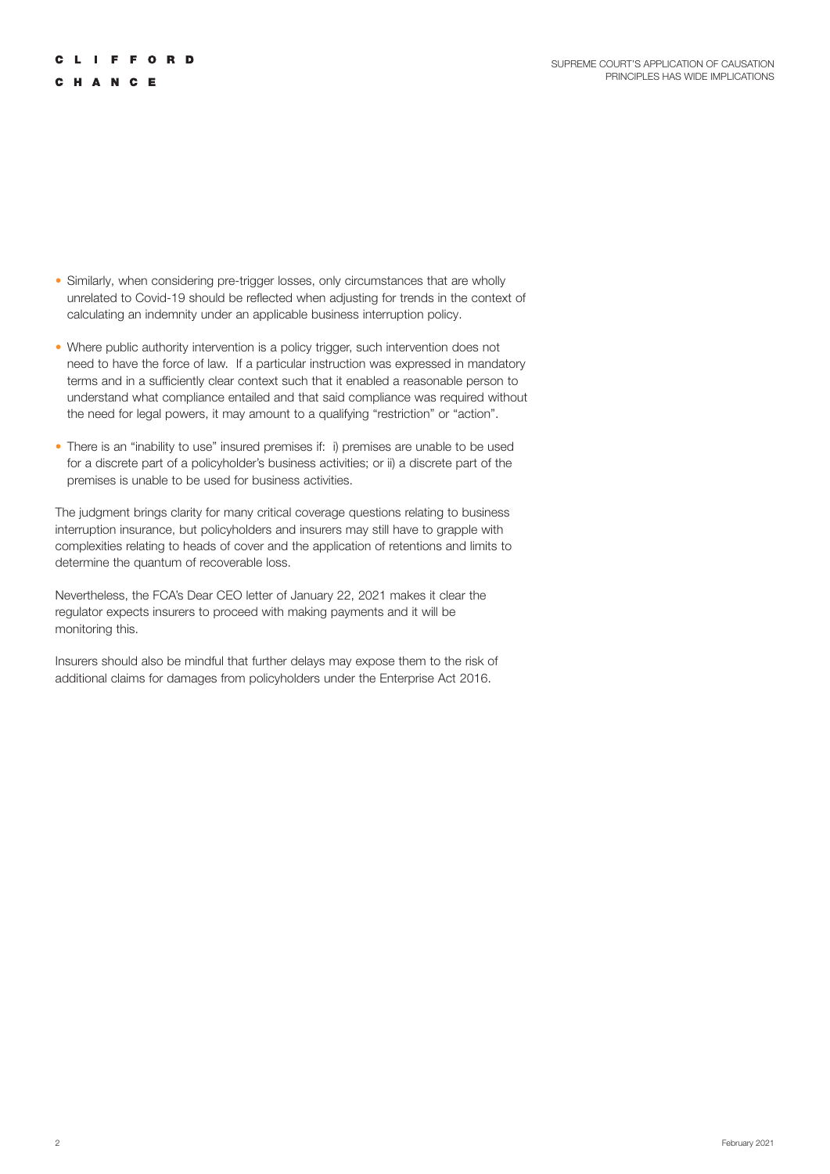## **CLIFFORD**

### CHANCE

- Similarly, when considering pre-trigger losses, only circumstances that are wholly unrelated to Covid-19 should be reflected when adjusting for trends in the context of calculating an indemnity under an applicable business interruption policy.
- Where public authority intervention is a policy trigger, such intervention does not need to have the force of law. If a particular instruction was expressed in mandatory terms and in a sufficiently clear context such that it enabled a reasonable person to understand what compliance entailed and that said compliance was required without the need for legal powers, it may amount to a qualifying "restriction" or "action".
- There is an "inability to use" insured premises if: i) premises are unable to be used for a discrete part of a policyholder's business activities; or ii) a discrete part of the premises is unable to be used for business activities.

The judgment brings clarity for many critical coverage questions relating to business interruption insurance, but policyholders and insurers may still have to grapple with complexities relating to heads of cover and the application of retentions and limits to determine the quantum of recoverable loss.

Nevertheless, the FCA's Dear CEO letter of January 22, 2021 makes it clear the regulator expects insurers to proceed with making payments and it will be monitoring this.

Insurers should also be mindful that further delays may expose them to the risk of additional claims for damages from policyholders under the Enterprise Act 2016.